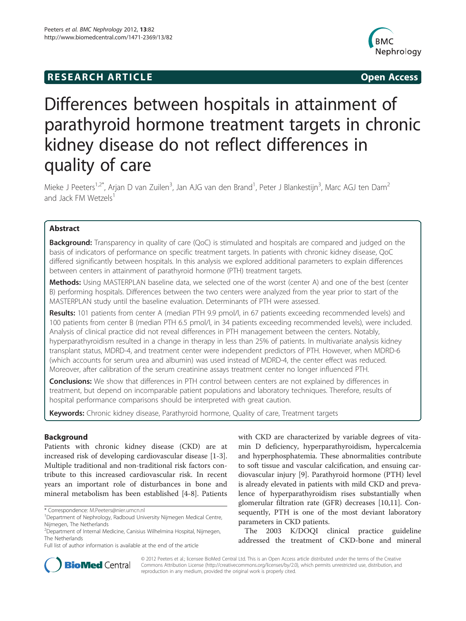# **RESEARCH ARTICLE Example 2018 12:00 Open Access**



# Differences between hospitals in attainment of parathyroid hormone treatment targets in chronic kidney disease do not reflect differences in quality of care

Mieke J Peeters<sup>1,2\*</sup>, Arjan D van Zuilen<sup>3</sup>, Jan AJG van den Brand<sup>1</sup>, Peter J Blankestijn<sup>3</sup>, Marc AGJ ten Dam<sup>2</sup> and Jack FM Wetzels<sup>1</sup>

# Abstract

Background: Transparency in quality of care (QoC) is stimulated and hospitals are compared and judged on the basis of indicators of performance on specific treatment targets. In patients with chronic kidney disease, QoC differed significantly between hospitals. In this analysis we explored additional parameters to explain differences between centers in attainment of parathyroid hormone (PTH) treatment targets.

Methods: Using MASTERPLAN baseline data, we selected one of the worst (center A) and one of the best (center B) performing hospitals. Differences between the two centers were analyzed from the year prior to start of the MASTERPLAN study until the baseline evaluation. Determinants of PTH were assessed.

Results: 101 patients from center A (median PTH 9.9 pmol/l, in 67 patients exceeding recommended levels) and 100 patients from center B (median PTH 6.5 pmol/l, in 34 patients exceeding recommended levels), were included. Analysis of clinical practice did not reveal differences in PTH management between the centers. Notably, hyperparathyroidism resulted in a change in therapy in less than 25% of patients. In multivariate analysis kidney transplant status, MDRD-4, and treatment center were independent predictors of PTH. However, when MDRD-6 (which accounts for serum urea and albumin) was used instead of MDRD-4, the center effect was reduced. Moreover, after calibration of the serum creatinine assays treatment center no longer influenced PTH.

**Conclusions:** We show that differences in PTH control between centers are not explained by differences in treatment, but depend on incomparable patient populations and laboratory techniques. Therefore, results of hospital performance comparisons should be interpreted with great caution.

Keywords: Chronic kidney disease, Parathyroid hormone, Quality of care, Treatment targets

# Background

Patients with chronic kidney disease (CKD) are at increased risk of developing cardiovascular disease [[1-3](#page-7-0)]. Multiple traditional and non-traditional risk factors contribute to this increased cardiovascular risk. In recent years an important role of disturbances in bone and mineral metabolism has been established [\[4](#page-7-0)-[8\]](#page-7-0). Patients

\* Correspondence: [M.Peeters@nier.umcn.nl](mailto:M.Peeters@nier.umcn.nl) <sup>1</sup>

with CKD are characterized by variable degrees of vitamin D deficiency, hyperparathyroidism, hypercalcemia and hyperphosphatemia. These abnormalities contribute to soft tissue and vascular calcification, and ensuing cardiovascular injury [[9\]](#page-7-0). Parathyroid hormone (PTH) level is already elevated in patients with mild CKD and prevalence of hyperparathyroidism rises substantially when glomerular filtration rate (GFR) decreases [[10,11\]](#page-7-0). Consequently, PTH is one of the most deviant laboratory parameters in CKD patients.

The 2003 K/DOQI clinical practice guideline addressed the treatment of CKD-bone and mineral



© 2012 Peeters et al.; licensee BioMed Central Ltd. This is an Open Access article distributed under the terms of the Creative Commons Attribution License [\(http://creativecommons.org/licenses/by/2.0\)](http://creativecommons.org/licenses/by/2.0), which permits unrestricted use, distribution, and reproduction in any medium, provided the original work is properly cited.

<sup>&</sup>lt;sup>1</sup>Department of Nephrology, Radboud University Nijmegen Medical Centre, Nijmegen, The Netherlands

<sup>2</sup> Department of Internal Medicine, Canisius Wilhelmina Hospital, Nijmegen, The Netherlands

Full list of author information is available at the end of the article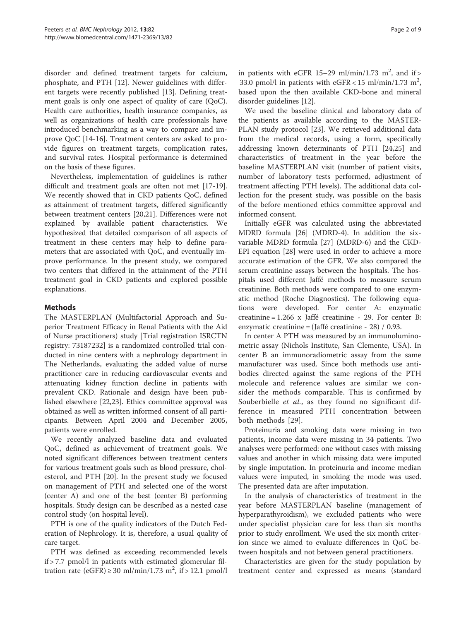disorder and defined treatment targets for calcium, phosphate, and PTH [[12\]](#page-7-0). Newer guidelines with different targets were recently published [[13](#page-7-0)]. Defining treatment goals is only one aspect of quality of care (QoC). Health care authorities, health insurance companies, as well as organizations of health care professionals have introduced benchmarking as a way to compare and improve QoC [[14-16\]](#page-7-0). Treatment centers are asked to provide figures on treatment targets, complication rates, and survival rates. Hospital performance is determined on the basis of these figures.

Nevertheless, implementation of guidelines is rather difficult and treatment goals are often not met [[17-19](#page-7-0)]. We recently showed that in CKD patients QoC, defined as attainment of treatment targets, differed significantly between treatment centers [[20,21](#page-7-0)]. Differences were not explained by available patient characteristics. We hypothesized that detailed comparison of all aspects of treatment in these centers may help to define parameters that are associated with QoC, and eventually improve performance. In the present study, we compared two centers that differed in the attainment of the PTH treatment goal in CKD patients and explored possible explanations.

# Methods

The MASTERPLAN (Multifactorial Approach and Superior Treatment Efficacy in Renal Patients with the Aid of Nurse practitioners) study [Trial registration ISRCTN registry: 73187232] is a randomized controlled trial conducted in nine centers with a nephrology department in The Netherlands, evaluating the added value of nurse practitioner care in reducing cardiovascular events and attenuating kidney function decline in patients with prevalent CKD. Rationale and design have been published elsewhere [[22](#page-7-0),[23](#page-7-0)]. Ethics committee approval was obtained as well as written informed consent of all participants. Between April 2004 and December 2005, patients were enrolled.

We recently analyzed baseline data and evaluated QoC, defined as achievement of treatment goals. We noted significant differences between treatment centers for various treatment goals such as blood pressure, cholesterol, and PTH [[20\]](#page-7-0). In the present study we focused on management of PTH and selected one of the worst (center A) and one of the best (center B) performing hospitals. Study design can be described as a nested case control study (on hospital level).

PTH is one of the quality indicators of the Dutch Federation of Nephrology. It is, therefore, a usual quality of care target.

PTH was defined as exceeding recommended levels if > 7.7 pmol/l in patients with estimated glomerular filtration rate (eGFR)  $\geq$  30 ml/min/1.73 m<sup>2</sup>, if  $>$  12.1 pmol/l

in patients with eGFR 15-29 ml/min/1.73 m<sup>2</sup>, and if > 33.0 pmol/l in patients with  $eGFR < 15$  ml/min/1.73 m<sup>2</sup>, based upon the then available CKD-bone and mineral disorder guidelines [\[12](#page-7-0)].

We used the baseline clinical and laboratory data of the patients as available according to the MASTER-PLAN study protocol [[23\]](#page-7-0). We retrieved additional data from the medical records, using a form, specifically addressing known determinants of PTH [\[24,25\]](#page-7-0) and characteristics of treatment in the year before the baseline MASTERPLAN visit (number of patient visits, number of laboratory tests performed, adjustment of treatment affecting PTH levels). The additional data collection for the present study, was possible on the basis of the before mentioned ethics committee approval and informed consent.

Initially eGFR was calculated using the abbreviated MDRD formula [[26\]](#page-7-0) (MDRD-4). In addition the sixvariable MDRD formula [\[27](#page-7-0)] (MDRD-6) and the CKD-EPI equation [[28\]](#page-8-0) were used in order to achieve a more accurate estimation of the GFR. We also compared the serum creatinine assays between the hospitals. The hospitals used different Jaffé methods to measure serum creatinine. Both methods were compared to one enzymatic method (Roche Diagnostics). The following equations were developed. For center A: enzymatic creatinine = 1.266 x Jaffé creatinine - 29. For center B: enzymatic creatinine = (Jaffé creatinine - 28) / 0.93.

In center A PTH was measured by an immunoluminometric assay (Nichols Institute, San Clemente, USA). In center B an immunoradiometric assay from the same manufacturer was used. Since both methods use antibodies directed against the same regions of the PTH molecule and reference values are similar we consider the methods comparable. This is confirmed by Souberbielle et al., as they found no significant difference in measured PTH concentration between both methods [\[29\]](#page-8-0).

Proteinuria and smoking data were missing in two patients, income data were missing in 34 patients. Two analyses were performed: one without cases with missing values and another in which missing data were imputed by single imputation. In proteinuria and income median values were imputed, in smoking the mode was used. The presented data are after imputation.

In the analysis of characteristics of treatment in the year before MASTERPLAN baseline (management of hyperparathyroidism), we excluded patients who were under specialist physician care for less than six months prior to study enrollment. We used the six month criterion since we aimed to evaluate differences in QoC between hospitals and not between general practitioners.

Characteristics are given for the study population by treatment center and expressed as means (standard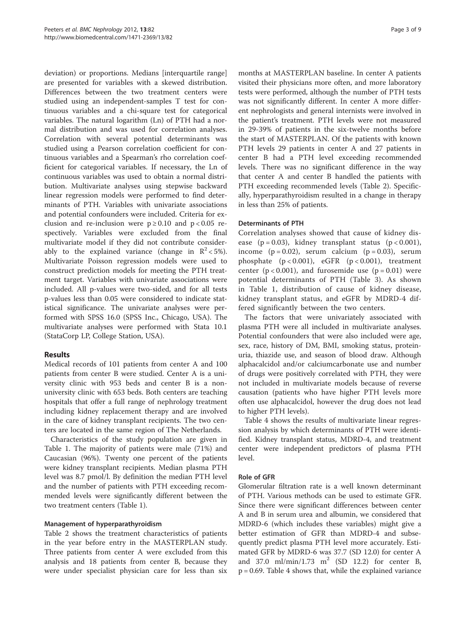deviation) or proportions. Medians [interquartile range] are presented for variables with a skewed distribution. Differences between the two treatment centers were studied using an independent-samples T test for continuous variables and a chi-square test for categorical variables. The natural logarithm (Ln) of PTH had a normal distribution and was used for correlation analyses. Correlation with several potential determinants was studied using a Pearson correlation coefficient for continuous variables and a Spearman's rho correlation coefficient for categorical variables. If necessary, the Ln of continuous variables was used to obtain a normal distribution. Multivariate analyses using stepwise backward linear regression models were performed to find determinants of PTH. Variables with univariate associations and potential confounders were included. Criteria for exclusion and re-inclusion were  $p \ge 0.10$  and  $p < 0.05$  respectively. Variables were excluded from the final multivariate model if they did not contribute considerably to the explained variance (change in  $R^2$  < 5%). Multivariate Poisson regression models were used to construct prediction models for meeting the PTH treatment target. Variables with univariate associations were included. All p-values were two-sided, and for all tests p-values less than 0.05 were considered to indicate statistical significance. The univariate analyses were performed with SPSS 16.0 (SPSS Inc., Chicago, USA). The multivariate analyses were performed with Stata 10.1 (StataCorp LP, College Station, USA).

# Results

Medical records of 101 patients from center A and 100 patients from center B were studied. Center A is a university clinic with 953 beds and center B is a nonuniversity clinic with 653 beds. Both centers are teaching hospitals that offer a full range of nephrology treatment including kidney replacement therapy and are involved in the care of kidney transplant recipients. The two centers are located in the same region of The Netherlands.

Characteristics of the study population are given in Table [1.](#page-3-0) The majority of patients were male (71%) and Caucasian (96%). Twenty one percent of the patients were kidney transplant recipients. Median plasma PTH level was 8.7 pmol/l. By definition the median PTH level and the number of patients with PTH exceeding recommended levels were significantly different between the two treatment centers (Table [1](#page-3-0)).

# Management of hyperparathyroidism

Table [2](#page-4-0) shows the treatment characteristics of patients in the year before entry in the MASTERPLAN study. Three patients from center A were excluded from this analysis and 18 patients from center B, because they were under specialist physician care for less than six

months at MASTERPLAN baseline. In center A patients visited their physicians more often, and more laboratory tests were performed, although the number of PTH tests was not significantly different. In center A more different nephrologists and general internists were involved in the patient's treatment. PTH levels were not measured in 29-39% of patients in the six-twelve months before the start of MASTERPLAN. Of the patients with known PTH levels 29 patients in center A and 27 patients in center B had a PTH level exceeding recommended levels. There was no significant difference in the way that center A and center B handled the patients with PTH exceeding recommended levels (Table [2\)](#page-4-0). Specifically, hyperparathyroidism resulted in a change in therapy in less than 25% of patients.

# Determinants of PTH

Correlation analyses showed that cause of kidney disease  $(p = 0.03)$ , kidney transplant status  $(p < 0.001)$ , income  $(p = 0.02)$ , serum calcium  $(p = 0.03)$ , serum phosphate (p < 0.001), eGFR (p < 0.001), treatment center ( $p < 0.001$ ), and furosemide use ( $p = 0.01$ ) were potential determinants of PTH (Table [3](#page-5-0)). As shown in Table [1,](#page-3-0) distribution of cause of kidney disease, kidney transplant status, and eGFR by MDRD-4 differed significantly between the two centers.

The factors that were univariately associated with plasma PTH were all included in multivariate analyses. Potential confounders that were also included were age, sex, race, history of DM, BMI, smoking status, proteinuria, thiazide use, and season of blood draw. Although alphacalcidol and/or calciumcarbonate use and number of drugs were positively correlated with PTH, they were not included in multivariate models because of reverse causation (patients who have higher PTH levels more often use alphacalcidol, however the drug does not lead to higher PTH levels).

Table [4](#page-6-0) shows the results of multivariate linear regression analysis by which determinants of PTH were identified. Kidney transplant status, MDRD-4, and treatment center were independent predictors of plasma PTH level.

# Role of GFR

Glomerular filtration rate is a well known determinant of PTH. Various methods can be used to estimate GFR. Since there were significant differences between center A and B in serum urea and albumin, we considered that MDRD-6 (which includes these variables) might give a better estimation of GFR than MDRD-4 and subsequently predict plasma PTH level more accurately. Estimated GFR by MDRD-6 was 37.7 (SD 12.0) for center A and 37.0 ml/min/1.73 m<sup>2</sup> (SD 12.2) for center B,  $p = 0.69$ . Table [4](#page-6-0) shows that, while the explained variance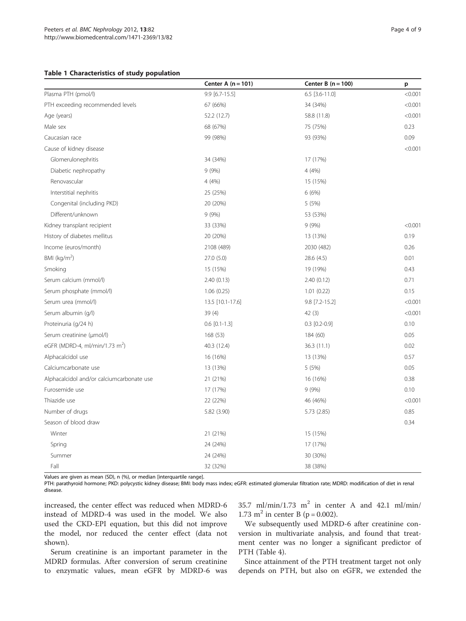## <span id="page-3-0"></span>Table 1 Characteristics of study population

|                                            | Center A $(n = 101)$ | Center B $(n = 100)$ | p       |
|--------------------------------------------|----------------------|----------------------|---------|
| Plasma PTH (pmol/l)                        | 9.9 [6.7-15.5]       | $6.5$ [3.6-11.0]     | < 0.001 |
| PTH exceeding recommended levels           | 67 (66%)             | 34 (34%)             | < 0.001 |
| Age (years)                                | 52.2 (12.7)          | 58.8 (11.8)          | < 0.001 |
| Male sex                                   | 68 (67%)             | 75 (75%)             | 0.23    |
| Caucasian race                             | 99 (98%)             | 93 (93%)             | 0.09    |
| Cause of kidney disease                    |                      |                      | < 0.001 |
| Glomerulonephritis                         | 34 (34%)             | 17 (17%)             |         |
| Diabetic nephropathy                       | 9(9%)                | 4(4%)                |         |
| Renovascular                               | 4(4%)                | 15 (15%)             |         |
| Interstitial nephritis                     | 25 (25%)             | 6(6%)                |         |
| Congenital (including PKD)                 | 20 (20%)             | 5 (5%)               |         |
| Different/unknown                          | 9(9%)                | 53 (53%)             |         |
| Kidney transplant recipient                | 33 (33%)             | 9(9%)                | < 0.001 |
| History of diabetes mellitus               | 20 (20%)             | 13 (13%)             | 0.19    |
| Income (euros/month)                       | 2108 (489)           | 2030 (482)           | 0.26    |
| BMI ( $kg/m2$ )                            | 27.0 (5.0)           | 28.6 (4.5)           | 0.01    |
| Smoking                                    | 15 (15%)             | 19 (19%)             | 0.43    |
| Serum calcium (mmol/l)                     | 2.40 (0.13)          | 2.40(0.12)           | 0.71    |
| Serum phosphate (mmol/l)                   | 1.06(0.25)           | 1.01(0.22)           | 0.15    |
| Serum urea (mmol/l)                        | 13.5 [10.1-17.6]     | 9.8 [7.2-15.2]       | < 0.001 |
| Serum albumin (g/l)                        | 39 (4)               | 42(3)                | < 0.001 |
| Proteinuria (q/24 h)                       | $0.6$ $[0.1 - 1.3]$  | $0.3$ [0.2-0.9]      | 0.10    |
| Serum creatinine (µmol/l)                  | 168 (53)             | 184 (60)             | 0.05    |
| eGFR (MDRD-4, ml/min/1.73 m <sup>2</sup> ) | 40.3 (12.4)          | 36.3(11.1)           | 0.02    |
| Alphacalcidol use                          | 16 (16%)             | 13 (13%)             | 0.57    |
| Calciumcarbonate use                       | 13 (13%)             | 5(5%)                | 0.05    |
| Alphacalcidol and/or calciumcarbonate use  | 21 (21%)             | 16 (16%)             | 0.38    |
| Furosemide use                             | 17 (17%)             | 9(9%)                | 0.10    |
| Thiazide use                               | 22 (22%)             | 46 (46%)             | < 0.001 |
| Number of drugs                            | 5.82 (3.90)          | 5.73(2.85)           | 0.85    |
| Season of blood draw                       |                      |                      | 0.34    |
| Winter                                     | 21 (21%)             | 15 (15%)             |         |
| Spring                                     | 24 (24%)             | 17 (17%)             |         |
| Summer                                     | 24 (24%)             | 30 (30%)             |         |
| Fall                                       | 32 (32%)             | 38 (38%)             |         |

Values are given as mean (SD), n (%), or median [interquartile range].

PTH: parathyroid hormone; PKD: polycystic kidney disease; BMI: body mass index; eGFR: estimated glomerular filtration rate; MDRD: modification of diet in renal disease.

increased, the center effect was reduced when MDRD-6 instead of MDRD-4 was used in the model. We also used the CKD-EPI equation, but this did not improve the model, nor reduced the center effect (data not shown).

Serum creatinine is an important parameter in the MDRD formulas. After conversion of serum creatinine to enzymatic values, mean eGFR by MDRD-6 was

35.7 ml/min/1.73 m<sup>2</sup> in center A and 42.1 ml/min/ 1.73 m<sup>2</sup> in center B ( $p = 0.002$ ).

We subsequently used MDRD-6 after creatinine conversion in multivariate analysis, and found that treatment center was no longer a significant predictor of PTH (Table [4\)](#page-6-0).

Since attainment of the PTH treatment target not only depends on PTH, but also on eGFR, we extended the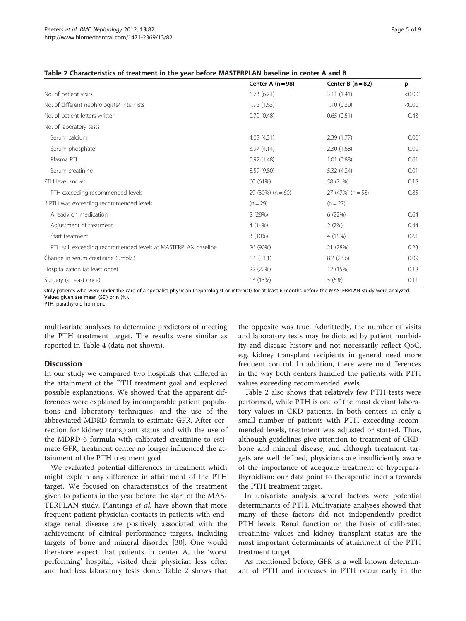<span id="page-4-0"></span>

|                                                               | Center A $(n = 98)$ | Center B $(n = 82)$ | p       |
|---------------------------------------------------------------|---------------------|---------------------|---------|
| No. of patient visits                                         | 6.73(6.21)          | 3.11(1.41)          | < 0.001 |
| No. of different nephrologists/internists                     | 1.92(1.63)          | 1.10(0.30)          | < 0.001 |
| No. of patient letters written                                | 0.70(0.48)          | 0.65(0.51)          | 0.43    |
| No. of laboratory tests                                       |                     |                     |         |
| Serum calcium                                                 | 4.05(4.31)          | 2.39(1.77)          | 0.001   |
| Serum phosphate                                               | 3.97(4.14)          | 2.30(1.68)          | 0.001   |
| Plasma PTH                                                    | 0.92(1.48)          | 1.01(0.88)          | 0.61    |
| Serum creatinine                                              | 8.59 (9.80)         | 5.32 (4.24)         | 0.01    |
| PTH level known                                               | 60 (61%)            | 58 (71%)            | 0.18    |
| PTH exceeding recommended levels                              | $29(30\%) (n = 60)$ | $27(47%) (n = 58)$  | 0.85    |
| If PTH was exceeding recommended levels                       | $(n = 29)$          | $(n = 27)$          |         |
| Already on medication                                         | 8 (28%)             | 6(22%)              | 0.64    |
| Adjustment of treatment                                       | 4 (14%)             | 2(7%)               | 0.44    |
| Start treatment                                               | 3(10%)              | 4 (15%)             | 0.61    |
| PTH still exceeding recommended levels at MASTERPLAN baseline | 26 (90%)            | 21 (78%)            | 0.23    |
| Change in serum creatinine (µmol/l)                           | 1.1(31.1)           | 8.2(23.6)           | 0.09    |
| Hospitalization (at least once)                               | 22 (22%)            | 12 (15%)            | 0.18    |
| Surgery (at least once)                                       | 13 (13%)            | 5(6%)               | 0.11    |

Only patients who were under the care of a specialist physician (nephrologist or internist) for at least 6 months before the MASTERPLAN study were analyzed. Values given are mean (SD) or n (%).

PTH: parathyroid hormone.

multivariate analyses to determine predictors of meeting the PTH treatment target. The results were similar as reported in Table [4](#page-6-0) (data not shown).

#### **Discussion**

In our study we compared two hospitals that differed in the attainment of the PTH treatment goal and explored possible explanations. We showed that the apparent differences were explained by incomparable patient populations and laboratory techniques, and the use of the abbreviated MDRD formula to estimate GFR. After correction for kidney transplant status and with the use of the MDRD-6 formula with calibrated creatinine to estimate GFR, treatment center no longer influenced the attainment of the PTH treatment goal.

We evaluated potential differences in treatment which might explain any difference in attainment of the PTH target. We focused on characteristics of the treatment given to patients in the year before the start of the MAS-TERPLAN study. Plantinga et al. have shown that more frequent patient-physician contacts in patients with endstage renal disease are positively associated with the achievement of clinical performance targets, including targets of bone and mineral disorder [[30](#page-8-0)]. One would therefore expect that patients in center A, the 'worst performing' hospital, visited their physician less often and had less laboratory tests done. Table 2 shows that

the opposite was true. Admittedly, the number of visits and laboratory tests may be dictated by patient morbidity and disease history and not necessarily reflect QoC, e.g. kidney transplant recipients in general need more frequent control. In addition, there were no differences in the way both centers handled the patients with PTH values exceeding recommended levels.

Table 2 also shows that relatively few PTH tests were performed, while PTH is one of the most deviant laboratory values in CKD patients. In both centers in only a small number of patients with PTH exceeding recommended levels, treatment was adjusted or started. Thus, although guidelines give attention to treatment of CKDbone and mineral disease, and although treatment targets are well defined, physicians are insufficiently aware of the importance of adequate treatment of hyperparathyroidism: our data point to therapeutic inertia towards the PTH treatment target.

In univariate analysis several factors were potential determinants of PTH. Multivariate analyses showed that many of these factors did not independently predict PTH levels. Renal function on the basis of calibrated creatinine values and kidney transplant status are the most important determinants of attainment of the PTH treatment target.

As mentioned before, GFR is a well known determinant of PTH and increases in PTH occur early in the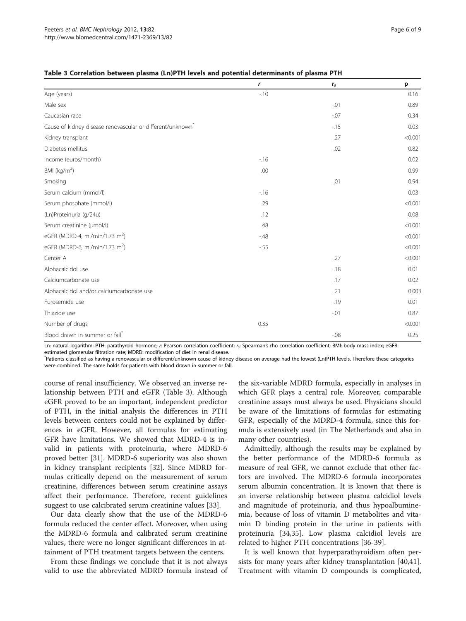|                                                                        | r     | $r_{s}$ | p       |
|------------------------------------------------------------------------|-------|---------|---------|
| Age (years)                                                            | $-10$ |         | 0.16    |
| Male sex                                                               |       | $-.01$  | 0.89    |
| Caucasian race                                                         |       | $-0.07$ | 0.34    |
| Cause of kidney disease renovascular or different/unknown <sup>®</sup> |       | $-15$   | 0.03    |
| Kidney transplant                                                      |       | .27     | < 0.001 |
| Diabetes mellitus                                                      |       | .02     | 0.82    |
| Income (euros/month)                                                   | $-16$ |         | 0.02    |
| BMI ( $kg/m2$ )                                                        | .00   |         | 0.99    |
| Smoking                                                                |       | .01     | 0.94    |
| Serum calcium (mmol/l)                                                 | $-16$ |         | 0.03    |
| Serum phosphate (mmol/l)                                               | .29   |         | < 0.001 |
| (Ln)Proteinuria (g/24u)                                                | .12   |         | 0.08    |
| Serum creatinine (µmol/l)                                              | .48   |         | < 0.001 |
| eGFR (MDRD-4, ml/min/1.73 m <sup>2</sup> )                             | $-48$ |         | < 0.001 |
| eGFR (MDRD-6, ml/min/1.73 m <sup>2</sup> )                             | $-55$ |         | < 0.001 |
| Center A                                                               |       | .27     | < 0.001 |
| Alphacalcidol use                                                      |       | .18     | 0.01    |
| Calciumcarbonate use                                                   |       | .17     | 0.02    |
| Alphacalcidol and/or calciumcarbonate use                              |       | .21     | 0.003   |
| Furosemide use                                                         |       | .19     | 0.01    |
| Thiazide use                                                           |       | $-0.01$ | 0.87    |
| Number of drugs                                                        | 0.35  |         | < 0.001 |
| Blood drawn in summer or fall <sup>*</sup>                             |       | $-08$   | 0.25    |

<span id="page-5-0"></span>Table 3 Correlation between plasma (Ln)PTH levels and potential determinants of plasma PTH

Ln: natural logarithm; PTH: parathyroid hormone; r: Pearson correlation coefficient; r;: Spearman's rho correlation coefficient; BMI: body mass index; eGFR: estimated glomerular filtration rate; MDRD: modification of diet in renal disease.

\* Patients classified as having a renovascular or different/unknown cause of kidney disease on average had the lowest (Ln)PTH levels. Therefore these categories were combined. The same holds for patients with blood drawn in summer or fall.

course of renal insufficiency. We observed an inverse relationship between PTH and eGFR (Table 3). Although eGFR proved to be an important, independent predictor of PTH, in the initial analysis the differences in PTH levels between centers could not be explained by differences in eGFR. However, all formulas for estimating GFR have limitations. We showed that MDRD-4 is invalid in patients with proteinuria, where MDRD-6 proved better [[31\]](#page-8-0). MDRD-6 superiority was also shown in kidney transplant recipients [[32\]](#page-8-0). Since MDRD formulas critically depend on the measurement of serum creatinine, differences between serum creatinine assays affect their performance. Therefore, recent guidelines suggest to use calcibrated serum creatinine values [\[33](#page-8-0)].

Our data clearly show that the use of the MDRD-6 formula reduced the center effect. Moreover, when using the MDRD-6 formula and calibrated serum creatinine values, there were no longer significant differences in attainment of PTH treatment targets between the centers.

From these findings we conclude that it is not always valid to use the abbreviated MDRD formula instead of the six-variable MDRD formula, especially in analyses in which GFR plays a central role. Moreover, comparable creatinine assays must always be used. Physicians should be aware of the limitations of formulas for estimating GFR, especially of the MDRD-4 formula, since this formula is extensively used (in The Netherlands and also in many other countries).

Admittedly, although the results may be explained by the better performance of the MDRD-6 formula as measure of real GFR, we cannot exclude that other factors are involved. The MDRD-6 formula incorporates serum albumin concentration. It is known that there is an inverse relationship between plasma calcidiol levels and magnitude of proteinuria, and thus hypoalbuminemia, because of loss of vitamin D metabolites and vitamin D binding protein in the urine in patients with proteinuria [[34](#page-8-0),[35](#page-8-0)]. Low plasma calcidiol levels are related to higher PTH concentrations [[36-39](#page-8-0)].

It is well known that hyperparathyroidism often persists for many years after kidney transplantation [\[40,41](#page-8-0)]. Treatment with vitamin D compounds is complicated,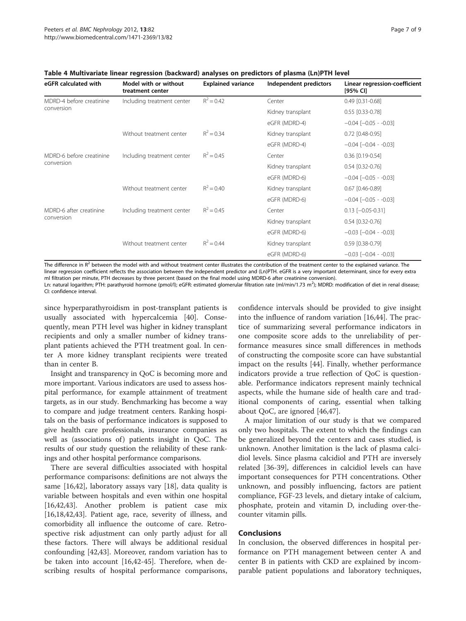| eGFR calculated with                   | Model with or without<br>treatment center | <b>Explained variance</b> | Independent predictors | Linear regression-coefficient<br>[95% CI] |
|----------------------------------------|-------------------------------------------|---------------------------|------------------------|-------------------------------------------|
| MDRD-4 before creatinine<br>conversion | Including treatment center                | $R^2 = 0.42$              | Center                 | $0.49$ $[0.31 - 0.68]$                    |
|                                        |                                           |                           | Kidney transplant      | 0.55 [0.33-0.78]                          |
|                                        |                                           |                           | eGFR (MDRD-4)          | $-0.04$ $[-0.05 - 0.03]$                  |
|                                        | Without treatment center                  | $R^2 = 0.34$              | Kidney transplant      | 0.72 [0.48-0.95]                          |
|                                        |                                           |                           | eGFR (MDRD-4)          | $-0.04$ $[-0.04 - 0.03]$                  |
| MDRD-6 before creatinine<br>conversion | Including treatment center                | $R^2 = 0.45$              | Center                 | 0.36 [0.19-0.54]                          |
|                                        |                                           |                           | Kidney transplant      | $0.54$ [0.32-0.76]                        |
|                                        |                                           |                           | eGFR (MDRD-6)          | $-0.04$ $[-0.05 - 0.03]$                  |
|                                        | Without treatment center                  | $R^2 = 0.40$              | Kidney transplant      | 0.67 [0.46-0.89]                          |
|                                        |                                           |                           | eGFR (MDRD-6)          | $-0.04$ $[-0.05 - 0.03]$                  |
| MDRD-6 after creatinine<br>conversion  | Including treatment center                | $R^2 = 0.45$              | Center                 | $0.13$ [-0.05-0.31]                       |
|                                        |                                           |                           | Kidney transplant      | $0.54$ [0.32-0.76]                        |
|                                        |                                           |                           | eGFR (MDRD-6)          | $-0.03$ $[-0.04 - 0.03]$                  |
|                                        | Without treatment center                  | $R^2 = 0.44$              | Kidney transplant      | 0.59 [0.38-0.79]                          |
|                                        |                                           |                           | eGFR (MDRD-6)          | $-0.03$ $[-0.04 - 0.03]$                  |

<span id="page-6-0"></span>Table 4 Multivariate linear regression (backward) analyses on predictors of plasma (Ln)PTH level

The difference in  $R^2$  between the model with and without treatment center illustrates the contribution of the treatment center to the explained variance. The linear regression coefficient reflects the association between the independent predictor and (Ln)PTH. eGFR is a very important determinant, since for every extra ml filtration per minute, PTH decreases by three percent (based on the final model using MDRD-6 after creatinine conversion). Ln: natural logarithm; PTH: parathyroid hormone (pmol/l); eGFR: estimated glomerular filtration rate (ml/min/1.73 m<sup>2</sup>); MDRD: modification of diet in renal disease

CI: confidence interval.

since hyperparathyroidism in post-transplant patients is usually associated with hypercalcemia [\[40](#page-8-0)]. Consequently, mean PTH level was higher in kidney transplant recipients and only a smaller number of kidney transplant patients achieved the PTH treatment goal. In center A more kidney transplant recipients were treated than in center B.

Insight and transparency in QoC is becoming more and more important. Various indicators are used to assess hospital performance, for example attainment of treatment targets, as in our study. Benchmarking has become a way to compare and judge treatment centers. Ranking hospitals on the basis of performance indicators is supposed to give health care professionals, insurance companies as well as (associations of) patients insight in  $QoC$ . The results of our study question the reliability of these rankings and other hospital performance comparisons.

There are several difficulties associated with hospital performance comparisons: definitions are not always the same [\[16](#page-7-0)[,42](#page-8-0)], laboratory assays vary [[18\]](#page-7-0), data quality is variable between hospitals and even within one hospital [[16,](#page-7-0)[42,43\]](#page-8-0). Another problem is patient case mix [[16,18,](#page-7-0)[42,43\]](#page-8-0). Patient age, race, severity of illness, and comorbidity all influence the outcome of care. Retrospective risk adjustment can only partly adjust for all these factors. There will always be additional residual confounding [[42,43\]](#page-8-0). Moreover, random variation has to be taken into account [[16](#page-7-0),[42](#page-8-0)-[45\]](#page-8-0). Therefore, when describing results of hospital performance comparisons,

confidence intervals should be provided to give insight into the influence of random variation [\[16](#page-7-0)[,44\]](#page-8-0). The practice of summarizing several performance indicators in one composite score adds to the unreliability of performance measures since small differences in methods of constructing the composite score can have substantial impact on the results [\[44](#page-8-0)]. Finally, whether performance indicators provide a true reflection of QoC is questionable. Performance indicators represent mainly technical aspects, while the humane side of health care and traditional components of caring, essential when talking about QoC, are ignored [\[46,47\]](#page-8-0).

A major limitation of our study is that we compared only two hospitals. The extent to which the findings can be generalized beyond the centers and cases studied, is unknown. Another limitation is the lack of plasma calcidiol levels. Since plasma calcidiol and PTH are inversely related [\[36](#page-8-0)-[39\]](#page-8-0), differences in calcidiol levels can have important consequences for PTH concentrations. Other unknown, and possibly influencing, factors are patient compliance, FGF-23 levels, and dietary intake of calcium, phosphate, protein and vitamin D, including over-thecounter vitamin pills.

## **Conclusions**

In conclusion, the observed differences in hospital performance on PTH management between center A and center B in patients with CKD are explained by incomparable patient populations and laboratory techniques,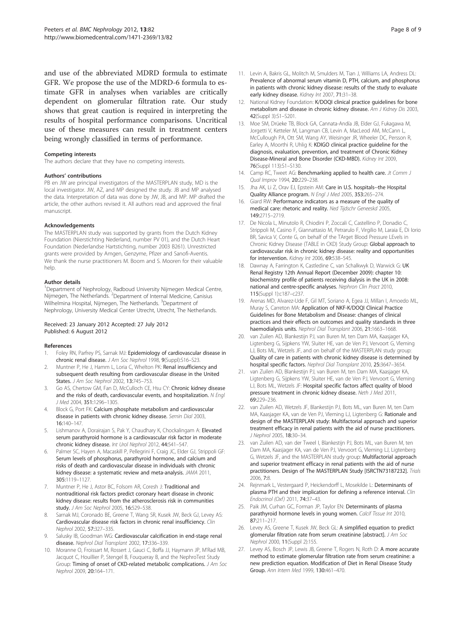<span id="page-7-0"></span>and use of the abbreviated MDRD formula to estimate GFR. We propose the use of the MDRD-6 formula to estimate GFR in analyses when variables are critically dependent on glomerular filtration rate. Our study shows that great caution is required in interpreting the results of hospital performance comparisons. Uncritical use of these measures can result in treatment centers being wrongly classified in terms of performance.

#### Competing interests

The authors declare that they have no competing interests.

#### Authors' contributions

PB en JW are principal investigators of the MASTERPLAN study, MD is the local investigator. JW, AZ, and MP designed the study. JB and MP analysed the data. Interpretation of data was done by JW, JB, and MP. MP drafted the article, the other authors revised it. All authors read and approved the final manuscript.

#### Acknowledgements

The MASTERPLAN study was supported by grants from the Dutch Kidney Foundation (Nierstichting Nederland, number PV 01), and the Dutch Heart Foundation (Nederlandse Hartstichting, number 2003 B261). Unrestricted grants were provided by Amgen, Genzyme, Pfizer and Sanofi-Aventis. We thank the nurse practitioners M. Boom and S. Mooren for their valuable help

#### Author details

<sup>1</sup>Department of Nephrology, Radboud University Nijmegen Medical Centre, Nijmegen, The Netherlands. <sup>2</sup>Department of Internal Medicine, Canisius Wilhelmina Hospital, Nijmegen, The Netherlands. <sup>3</sup>Department of Nephrology, University Medical Center Utrecht, Utrecht, The Netherlands.

#### Received: 23 January 2012 Accepted: 27 July 2012 Published: 6 August 2012

#### References

- 1. Foley RN, Parfrey PS, Sarnak MJ: Epidemiology of cardiovascular disease in chronic renal disease. J Am Soc Nephrol 1998, 9(Suppl):S16–S23.
- 2. Muntner P, He J, Hamm L, Loria C, Whelton PK: Renal insufficiency and subsequent death resulting from cardiovascular disease in the United States. J Am Soc Nephrol 2002, 13:745–753.
- 3. Go AS, Chertow GM, Fan D, McCulloch CE, Hsu CY: Chronic kidney disease and the risks of death, cardiovascular events, and hospitalization. N Engl J Med 2004, 351:1296–1305.
- Block G, Port FK: Calcium phosphate metabolism and cardiovascular disease in patients with chronic kidney disease. Semin Dial 2003, 16:140–147.
- 5. Lishmanov A, Dorairajan S, Pak Y, Chaudhary K, Chockalingam A: Elevated serum parathyroid hormone is a cardiovascular risk factor in moderate chronic kidney disease. Int Urol Nephrol 2012, 44:541–547.
- Palmer SC, Hayen A, Macaskill P, Pellegrini F, Craig JC, Elder GJ, Strippoli GF: Serum levels of phosphorus, parathyroid hormone, and calcium and risks of death and cardiovascular disease in individuals with chronic kidney disease: a systematic review and meta-analysis. JAMA 2011, 305:1119–1127.
- 7. Muntner P, He J, Astor BC, Folsom AR, Coresh J: Traditional and nontraditional risk factors predict coronary heart disease in chronic kidney disease: results from the atherosclerosis risk in communities study. J Am Soc Nephrol 2005, 16:529–538.
- 8. Sarnak MJ, Coronado BE, Greene T, Wang SR, Kusek JW, Beck GJ, Levey AS: Cardiovascular disease risk factors in chronic renal insufficiency. Clin Nephrol 2002, 57:327–335.
- Salusky IB, Goodman WG: Cardiovascular calcification in end-stage renal disease. Nephrol Dial Transplant 2002, 17:336–339.
- 10. Moranne O, Froissart M, Rossert J, Gauci C, Boffa JJ, Haymann JP, M'Rad MB, Jacquot C, Houillier P, Stengel B, Fouqueray B, and the NephroTest Study Group: Timing of onset of CKD-related metabolic complications. J Am Soc Nephrol 2009, 20:164–171.
- 11. Levin A, Bakris GL, Molitch M, Smulders M, Tian J, Williams LA, Andress DL: Prevalence of abnormal serum vitamin D, PTH, calcium, and phosphorus in patients with chronic kidney disease: results of the study to evaluate early kidney disease. Kidney Int 2007, 71:31-38.
- 12. National Kidney Foundation: K/DOQI clinical practice guidelines for bone metabolism and disease in chronic kidney disease. Am J Kidney Dis 2003, 42(Suppl 3):S1–S201.
- 13. Moe SM, Drüeke TB, Block GA, Cannata-Andía JB, Elder GJ, Fukagawa M, Jorgetti V, Ketteler M, Langman CB, Levin A, MacLeod AM, McCann L, McCullough PA, Ott SM, Wang AY, Weisinger JR, Wheeler DC, Persson R, Earley A, Moorthi R, Uhlig K: KDIGO clinical practice guideline for the diagnosis, evaluation, prevention, and treatment of Chronic Kidney Disease-Mineral and Bone Disorder (CKD-MBD). Kidney Int 2009, 76(Suppl 113):S1–S130.
- 14. Camp RC, Tweet AG: Benchmarking applied to health care. Jt Comm J Qual Improv 1994, 20:229–238.
- 15. Jha AK, Li Z, Orav EJ, Epstein AM: Care in U.S. hospitals--the Hospital Quality Alliance program. N Engl J Med 2005, 353:265–274.
- 16. Giard RW: Performance indicators as a measure of the quality of medical care: rhetoric and reality. Ned Tijdschr Geneeskd 2005, 149:2715–2719.
- 17. De Nicola L, Minutolo R, Chiodini P, Zoccali C, Castellino P, Donadio C, Strippoli M, Casino F, Giannattasio M, Petrarulo F, Virgilio M, Laraia E, Di Iorio BR, Savica V, Conte G, on behalf of the TArget Blood Pressure LEvels in Chronic Kidney Disease (TABLE in CKD) Study Group: Global approach to cardiovascular risk in chronic kidney disease: reality and opportunities for intervention. Kidney Int 2006, 69:538–545.
- 18. Dawnay A, Farrington K, Castledine C, van Schalkwyk D, Warwick G: UK Renal Registry 12th Annual Report (December 2009): chapter 10: biochemistry profile of patients receiving dialysis in the UK in 2008: national and centre-specific analyses. Nephron Clin Pract 2010, 115(Suppl 1):c187–c237.
- 19. Arenas MD, Alvarez-Ude F, Gil MT, Soriano A, Egea JJ, Millan I, Amoedo ML, Muray S, Carreton MA: Application of NKF-K/DOQI Clinical Practice Guidelines for Bone Metabolism and Disease: changes of clinical practices and their effects on outcomes and quality standards in three haemodialysis units. Nephrol Dial Transplant 2006, 21:1663-1668.
- 20. van Zuilen AD, Blankestijn PJ, van Buren M, ten Dam MA, Kaasjager KA, Ligtenberg G, Sijpkens YW, Sluiter HE, van de Ven PJ, Vervoort G, Vleming LJ, Bots ML, Wetzels JF, and on behalf of the MASTERPLAN study group: Quality of care in patients with chronic kidney disease is determined by hospital specific factors. Nephrol Dial Transplant 2010, 25:3647–3654.
- 21. van Zuilen AD, Blankestijn PJ, van Buren M, ten Dam MA, Kaasjager KA, Ligtenberg G, Sijpkens YW, Sluiter HE, van de Ven PJ, Vervoort G, Vleming LJ, Bots ML, Wetzels JF: Hospital specific factors affect quality of blood pressure treatment in chronic kidney disease. Neth J Med 2011, 69:229–236.
- 22. van Zuilen AD, Wetzels JF, Blankestijn PJ, Bots ML, van Buren M, ten Dam MA, Kaasjager KA, van de Ven PJ, Vleming LJ, Ligtenberg G: Rationale and design of the MASTERPLAN study: Multifactorial approach and superior treatment efficacy in renal patients with the aid of nurse practitioners. J Nephrol 2005, 18:30–34.
- 23. van Zuilen AD, van der Tweel I, Blankestijn PJ, Bots ML, van Buren M, ten Dam MA, Kaasjager KA, van de Ven PJ, Vervoort G, Vleming LJ, Ligtenberg G, Wetzels JF, and the MASTERPLAN study group: Multifactorial approach and superior treatment efficacy in renal patients with the aid of nurse practitioners. Design of The MASTERPLAN Study [ISRCTN73187232]. Trials 2006, 7:8.
- 24. Rejnmark L, Vestergaard P, Heickendorff L, Mosekilde L: Determinants of plasma PTH and their implication for defining a reference interval. Clin Endocrinol (Oxf) 2011, 74:37–43.
- 25. Paik JM, Curhan GC, Forman JP, Taylor EN: Determinants of plasma parathyroid hormone levels in young women. Calcif Tissue Int 2010, 87:211–217.
- 26. Levey AS, Greene T, Kusek JW, Beck GL: A simplified equation to predict glomerular filtration rate from serum creatinine [abstract]. J Am Soc Nephrol 2000, 11(Suppl 2):155.
- 27. Levey AS, Bosch JP, Lewis JB, Greene T, Rogers N, Roth D: A more accurate method to estimate glomerular filtration rate from serum creatinine: a new prediction equation. Modification of Diet in Renal Disease Study Group. Ann Intern Med 1999, 130:461–470.